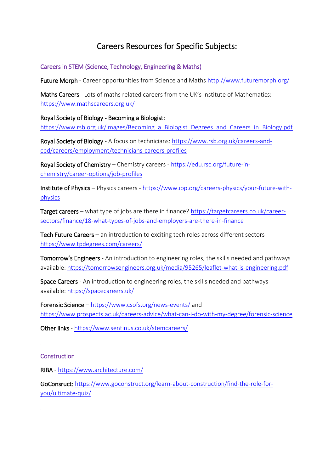# Careers Resources for Specific Subjects:

Careers in STEM (Science, Technology, Engineering & Maths)

Future Morph - Career opportunities from Science and Maths<http://www.futuremorph.org/>

Maths Careers - Lots of maths related careers from the UK's Institute of Mathematics: <https://www.mathscareers.org.uk/>

Royal Society of Biology - Becoming a Biologist:

https://www.rsb.org.uk/images/Becoming\_a\_Biologist\_Degrees\_and\_Careers\_in\_Biology.pdf

Royal Society of Biology - A focus on technicians: [https://www.rsb.org.uk/careers-and](https://www.rsb.org.uk/careers-and-cpd/careers/employment/technicians-careers-profiles)[cpd/careers/employment/technicians-careers-profiles](https://www.rsb.org.uk/careers-and-cpd/careers/employment/technicians-careers-profiles)

Royal Society of Chemistry – Chemistry careers - [https://edu.rsc.org/future-in](https://edu.rsc.org/future-in-chemistry/career-options/job-profiles)[chemistry/career-options/job-profiles](https://edu.rsc.org/future-in-chemistry/career-options/job-profiles)

Institute of Physics – Physics careers - [https://www.iop.org/careers-physics/your-future-with](https://www.iop.org/careers-physics/your-future-with-physics)[physics](https://www.iop.org/careers-physics/your-future-with-physics)

Target careers – what type of jobs are there in finance? [https://targetcareers.co.uk/career](https://targetcareers.co.uk/career-sectors/finance/18-what-types-of-jobs-and-employers-are-there-in-finance)[sectors/finance/18-what-types-of-jobs-and-employers-are-there-in-finance](https://targetcareers.co.uk/career-sectors/finance/18-what-types-of-jobs-and-employers-are-there-in-finance) 

Tech Future Careers – an introduction to exciting tech roles across different sectors <https://www.tpdegrees.com/careers/>

Tomorrow's Engineers - An introduction to engineering roles, the skills needed and pathways available:<https://tomorrowsengineers.org.uk/media/95265/leaflet-what-is-engineering.pdf>

Space Careers - An introduction to engineering roles, the skills needed and pathways available:<https://spacecareers.uk/>

Forensic Science – <https://www.csofs.org/news-events/> and <https://www.prospects.ac.uk/careers-advice/what-can-i-do-with-my-degree/forensic-science>

Other links - <https://www.sentinus.co.uk/stemcareers/>

#### **Construction**

RIBA - <https://www.architecture.com/>

GoConsruct: [https://www.goconstruct.org/learn-about-construction/find-the-role-for](https://www.goconstruct.org/learn-about-construction/find-the-role-for-you/ultimate-quiz/)[you/ultimate-quiz/](https://www.goconstruct.org/learn-about-construction/find-the-role-for-you/ultimate-quiz/)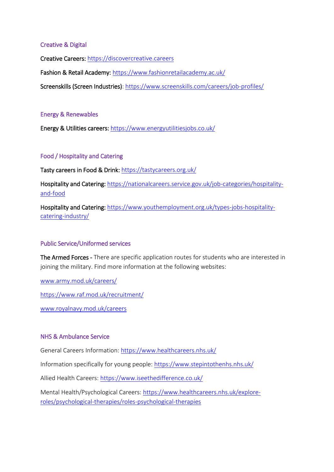## Creative & Digital

Creative Careers: [https://discovercreative.careers](https://discovercreative.careers/) 

Fashion & Retail Academy: <https://www.fashionretailacademy.ac.uk/>

Screenskills (Screen Industries):<https://www.screenskills.com/careers/job-profiles/>

#### Energy & Renewables

Energy & Utilities careers: <https://www.energyutilitiesjobs.co.uk/>

## Food / Hospitality and Catering

Tasty careers in Food & Drink: <https://tastycareers.org.uk/>

Hospitality and Catering: [https://nationalcareers.service.gov.uk/job-categories/hospitality](https://nationalcareers.service.gov.uk/job-categories/hospitality-and-food)[and-food](https://nationalcareers.service.gov.uk/job-categories/hospitality-and-food)

Hospitality and Catering: [https://www.youthemployment.org.uk/types-jobs-hospitality](https://www.youthemployment.org.uk/types-jobs-hospitality-catering-industry/)[catering-industry/](https://www.youthemployment.org.uk/types-jobs-hospitality-catering-industry/)

#### Public Service/Uniformed services

The Armed Forces - There are specific application routes for students who are interested in joining the military. Find more information at the following websites:

[www.army.mod.uk/careers/](http://www.army.mod.uk/careers/)

<https://www.raf.mod.uk/recruitment/>

[www.royalnavy.mod.uk/careers](http://www.royalnavy.mod.uk/careers) 

#### NHS & Ambulance Service

General Careers Information:<https://www.healthcareers.nhs.uk/>

Information specifically for young people:<https://www.stepintothenhs.nhs.uk/>

Allied Health Careers:<https://www.iseethedifference.co.uk/>

Mental Health/Psychological Careers: [https://www.healthcareers.nhs.uk/explore](https://www.healthcareers.nhs.uk/explore-roles/psychological-therapies/roles-psychological-therapies)[roles/psychological-therapies/roles-psychological-therapies](https://www.healthcareers.nhs.uk/explore-roles/psychological-therapies/roles-psychological-therapies)